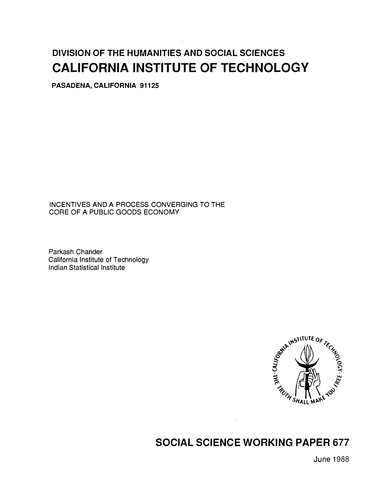# DIVISION OF THE HUMANITIES AND SOCIAL SCIENCES CALIFORNIA INSTITUTE OF TECHNOLOGY

PASADENA, CALIFORNIA 91125

INCENTIVES AND A PROCESS CONVERGING TO THE CORE OF A PUBLIC GOODS ECONOMY

Parkash Chander California Institute of Technology Indian Statistical Institute



## SOCIAL SCIENCE WORKING PAPER 677

June 1988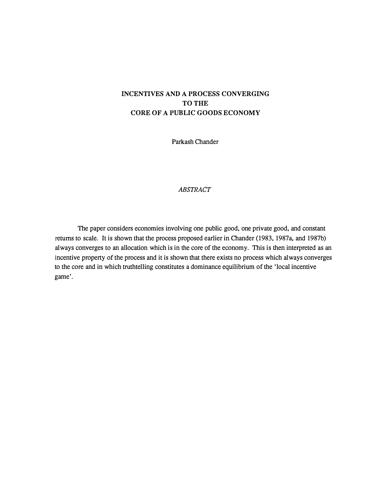## INCENTIVES AND A PROCESS CONVERGING TO THE CORE OF A PUBLIC GOODS ECONOMY

Parkash Chander

## ABSTRACT

The paper considers economies involving one public good, one private good, and constant returns to scale. It is shown that the process proposed earlier in Chander (1983, 1987a, and 1987b) always converges to an allocation which is in the core of the economy. This is then interpreted as an incentive property of the process and it is shown that there exists no process which always converges to the core and in which truthtelling constitutes a dominance equilibrium of the 'local incentive game'.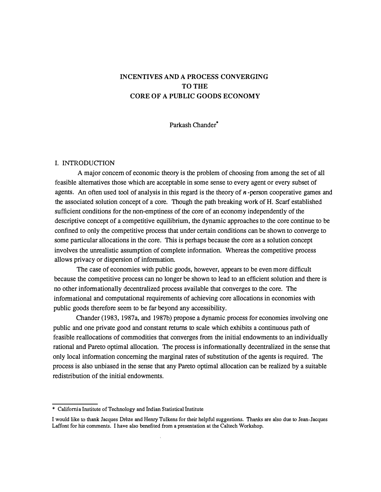## INCENTIVES AND A PROCESS CONVERGING TO THE CORE OF A PUBLIC GOODS ECONOMY

Parkash Chander\*

#### I. INTRODUCTION

A major concern of economic theory is the problem of choosing from among the set of all feasible alternatives those which are acceptable in some sense to every agent or every subset of agents. An often used tool of analysis in this regard is the theory of  $n$ -person cooperative games and the associated solution concept of a core. Though the path breaking work of H. Scarf established sufficient conditions for the non-emptiness of the core of an economy independently of the descriptive concept of a competitive equilibrium, the dynamic approaches to the core continue to be confined to only the competitive process that under certain conditions can be shown to converge to some particular allocations in the core. This is perhaps because the core as a solution concept involves the unrealistic assumption of complete infonnation. Whereas the competitive process allows privacy or dispersion of infonnation.

The case of economies with public goods, however, appears to be even more difficult because the competitive process can no longer be shown to lead to an efficient solution and there is no other informationally decentralized process available that converges to the core. The informational and computational requirements of achieving core allocations in economies with public goods therefore seem to be far beyond any accessibility.

Chander (1983, 1987a, and 1987b) propose a dynamic process for economies involving one public and one private good and constant returns to scale which exhibits a continuous path of feasible reallocations of commodities that converges from the initial endowments to an individually rational and Pareto optimal allocation. The process is informationally decentralized in the sense that only local information concerning the marginal rates of substitution of the agents is required. The process is also unbiased in the sense that any Pareto optimal allocation can be realized by a suitable redistribution of the initial endowments.

<sup>\*</sup> California Institute of Technology and Indian Statistical Institute

I would like to thank Jacques Dreze and Henry Tulkens for their helpful suggestions. Thanks are also due to Jean-Jacques Laffont for his comments. I have also benefited from a presentation at the Caltech Workshop.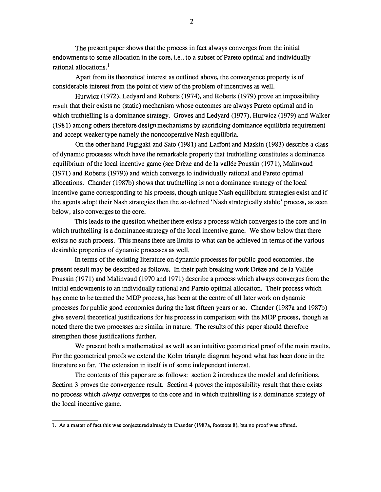The present paper shows that the process in fact always converges from the initial endowments to some allocation in the core, i.e., to a subset of Pareto optimal and individually rational allocations. 1

Apart from its theoretical interest as outlined above, the convergence property is of considerable interest from the point of view of the problem of incentives as well.

Hurwicz (1972), Ledyard and Roberts (1974), and Roberts (1979) prove an impossibility result that their exists no ( static) mechanism whose outcomes are always Pareto optimal and in which truthtelling is a dominance strategy. Groves and Ledyard (1977), Hurwicz (1979) and Walker ( 1981) among others therefore design mechanisms by sacrificing dominance equilibria requirement and accept weaker type namely the noncooperative Nash equilibria.

On the other hand Fugigaki and Sato ( 1981) and Laffont and Maskin ( 1983) describe a class of dynamic processes which have the remarkable property that truthtelling constitutes a dominance equilibrium of the local incentive game (see Drèze and de la vallée Poussin (1971), Malinvaud ( 1971) and Roberts ( 1979) ) and which converge to individually rational and Pareto optimal allocations. Chander ( 1987b) shows that truthtelling is not a dominance strategy of the local incentive game corresponding to his process, though unique Nash equilibrium strategies exist and if the agents adopt their Nash strategies then the so-defined 'Nash strategically stable' process, as seen below, also converges to the core.

This leads to the question whether there exists a process which converges to the core and in which truthtelling is a dominance strategy of the local incentive game. We show below that there exists no such process. This means there are limits to what can be achieved in terms of the various desirable properties of dynamic processes as well.

In terms of the existing literature on dynamic processes for public good economies, the present result may be described as follows. In their path breaking work Dreze and de la Vallee Poussin ( 1971) and Malinvaud ( 1970 and 1971) describe a process which always converges from the initial endowments to an individually rational and Pareto optimal allocation. Their process which has come to be termed the MDP process, has been at the centre of all later work on dynamic processes for public good economies during the last fifteen years or so. Chander ( 1987a and 1987b) give several theoretical justifications for his process in comparison with the MDP process, though as noted there the two processes are similar in nature. The results of this paper should therefore strengthen those justifications further.

We present both a mathematical as well as an intuitive geometrical proof of the main results. For the geometrical proofs we extend the Kolm triangle diagram beyond what has been done in the literature so far. The extension in itself is of some independent interest.

The contents of this paper are as follows: section 2 introduces the model and definitions. Section 3 proves the convergence result. Section 4 proves the impossibility result that there exists no process which always converges to the core and in which truthtelling is a dominance strategy of the local incentive game.

<sup>1.</sup> As a matter of fact this was conjectured already in Chander (1987 a, footnote 8), but no proof was offered.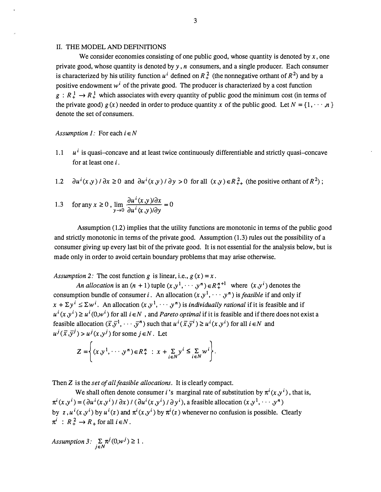#### IL THE MODEL AND DEFINITIONS

We consider economies consisting of one public good, whose quantity is denoted by  $x$ , one private good, whose quantity is denoted by  $y$ ,  $n$  consumers, and a single producer. Each consumer is characterized by his utility function  $u^i$  defined on  $R^2$  (the nonnegative orthant of  $R^2$ ) and by a positive endowment  $w^i$  of the private good. The producer is characterized by a cost function  $g: R^1 \to R^1$  which associates with every quantity of public good the minimum cost (in terms of the private good)  $g(x)$  needed in order to produce quantity x of the public good. Let  $N = \{1, \dots, n\}$ denote the set of consumers.

#### Assumption 1: For each  $i \in N$

- 1.1  $u^i$  is quasi-concave and at least twice continuously differentiable and strictly quasi-concave for at least one i .
- 1.2  $\partial u^{i}(x,y) / \partial x \ge 0$  and  $\partial u^{i}(x,y) / \partial y > 0$  for all  $(x,y) \in R_{++}^{2}$  (the positive orthant of  $R^{2}$ );

1.3 for any 
$$
x \ge 0
$$
,  $\lim_{y \to 0} \frac{\partial u^i(x, y)}{\partial u^i(x, y) / \partial y} = 0$ 

Assumption (1.2) implies that the utility functions are monotonic in terms of the public good and strictly monotonic in terms of the private good. Assumption (1. 3) rules out the possibility of a consumer giving up every last bit of the private good. It is not essential for the analysis below, but is made only in order to avoid certain boundary problems that may arise otherwise.

Assumption 2: The cost function g is linear, i.e.,  $g(x) = x$ .

An allocation is an  $(n + 1)$  tuple  $(x, y<sup>1</sup>, \dots, y<sup>n</sup>) \in R<sub>+</sub><sup>n+1</sup>$  where  $(x, y<sup>i</sup>)$  denotes the consumption bundle of consumer i. An allocation  $(x, y<sup>1</sup>, \dots, y<sup>n</sup>)$  is *feasible* if and only if  $x + \Sigma y^i \leq \Sigma w^i$ . An allocation  $(x, y^1, \dots, y^n)$  is *individually rational* if it is feasible and if  $u^{i}(x,y^{i}) \geq u^{i}(0,y^{i})$  for all  $i \in N$ , and *Pareto optimal* if it is feasible and if there does not exist a feasible allocation  $(\bar{x}, \bar{y}^1, \dots, \bar{y}^n)$  such that  $u^i(\bar{x}, \bar{y}^i) \ge u^i(x, y^i)$  for all  $i \in N$  and

$$
u^{j}(\overline{x}, \overline{y}^{j}) > u^{j}(x, y^{j}) \text{ for some } j \in N. \text{ Let}
$$

$$
Z = \left\{ (x, y^{1}, \dots, y^{n}) \in R_{+}^{n} : x + \sum_{i \in N} y^{i} \leq \sum_{i \in N} w^{i} \right\}.
$$

Then Z is the set of all feasible allocations. It is clearly compact.

We shall often denote consumer *i*'s marginal rate of substitution by  $\pi^{i}(x,y^{i})$ , that is,  $\pi^{i}(x,y^{i}) = (\partial u^{i}(x,y^{i}) / \partial x) / (\partial u^{i}(x,y^{i}) / \partial y^{i})$ , a feasible allocation  $(x,y^{1}, \dots, y^{n})$ by z,  $u^i(x, y^i)$  by  $u^i(z)$  and  $\pi^i(x, y^i)$  by  $\pi^i(z)$  whenever no confusion is possible. Clearly  $\pi^i$  :  $R_+^2 \rightarrow R_+$  for all  $i \in N$ .

Assumption 3: 
$$
\sum_{j \in N} \pi^j(0, w^j) \ge 1.
$$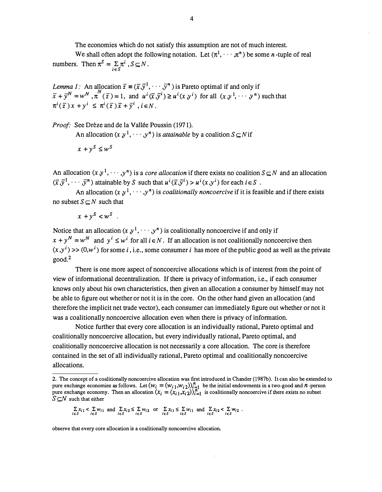The economies which do not satisfy this assumption are not of much interest.

We shall often adopt the following notation. Let  $(\pi^1, \dots, \pi^n)$  be some *n*-tuple of real numbers. Then  $\pi^3 = \sum \pi^i$ ,  $S \subseteq N$ .  $i \in S$ 

*Lemma 1:* An allocation  $\overline{z} = (\overline{x}, \overline{y}^1, \dots, \overline{y}^n)$  is Pareto optimal if and only if  $\overline{x} + \overline{y}^N = w^N$ ,  $\pi^N(\overline{z}) = 1$ , and  $u^i(\overline{x}, \overline{y}^i) \ge u^i(x, y^i)$  for all  $(x, y^1, \dots, y^n)$  such that  $\pi^{i}(\overline{z}) x + y^{i} \leq \pi^{i}(\overline{z}) \overline{x} + \overline{y}^{i}$ ,  $i \in N$ .

Proof: See Drèze and de la Vallée Poussin (1971).

An allocation  $(x, y^1, \dots, y^n)$  is *attainable* by a coalition  $S \subset N$  if

$$
x + y^S \leq w^S
$$

An allocation  $(x, y^1, \dots, y^n)$  is a *core allocation* if there exists no coalition  $S \subseteq N$  and an allocation  $(\overline{x}, \overline{y}^1, \dots, \overline{y}^n)$  attainable by S such that  $u^i(\overline{x}, \overline{y}^i) > u^i(x, y^i)$  for each  $i \in S$ .

An allocation  $(x, y^1, \dots, y^n)$  is *coalitionally noncoercive* if it is feasible and if there exists no subset  $S \subset N$  such that

$$
x + y^S < w^S \quad .
$$

Notice that an allocation  $(x, y<sup>1</sup>, \dots, y<sup>n</sup>)$  is coalitionally noncoercive if and only if  $x + y^N = w^N$  and  $y^i \leq w^i$  for all  $i \in N$ . If an allocation is not coalitionally noncoercive then  $(x, y<sup>i</sup>)$  >>  $(0, w<sup>i</sup>)$  for some *i*, i.e., some consumer *i* has more of the public good as well as the private good.2

There is one more aspect of noncoercive allocations which is of interest from the point of view of informational decentralization. If there is privacy of information, i.e., if each consumer knows only about his own characteristics, then given an allocation a consumer by himself may not be able to figure out whether or not it is in the core. On the other hand given an allocation (and therefore the implicit net trade vector) , each consumer can immediately figure out whether or not it was a coalitionally noncoercive allocation even when there is privacy of information.

Notice further that every core allocation is an individually rational, Pareto optimal and coalitionally noncoercive allocation, but every individually rational, Pareto optimal, and coalitionally noncoercive allocation is not necessarily a core allocation. The core is therefore contained in the set of all individually rational, Pareto optimal and coalitionally noncoercive allocations.

$$
\sum_{i \in S} x_{i1} < \sum_{i \in S} w_{i1} \text{ and } \sum_{i \in S} x_{i2} \le \sum_{i \in S} w_{i2} \text{ or } \sum_{i \in S} x_{i1} \le \sum_{i \in S} w_{i1} \text{ and } \sum_{i \in S} x_{i2} < \sum_{i \in S} w_{i2} .
$$

observe that every core allocation is a coalitionally noncoercive allocation.

<sup>2.</sup> The concept of a coalitionally noncoercive allocation was first introduced in Chander (1987b). It can also be extended to pure exchange economies as follows. Let  $(w_i = (w_{i,1}, w_{i,2}))_{i=1}^n$  be the initial endowments in a two-good and *n*-person<br>pure exchange economy. Then an allocation  $(x_i - (x_i, x_{i,2}))_i^n$ , is coalitionally poposarius if there e pure exchange economy. Then an allocation  $(x_i = (x_{i1}, x_{i2}))_{i=1}^n$  is coalitionally noncoercive if there exists no subset  $S \cap N$  such that either  $S \subseteq N$  such that either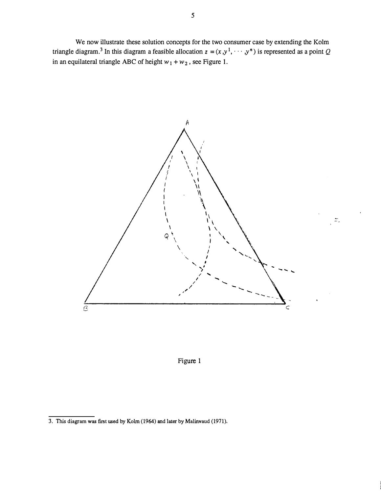We now illustrate these solution concepts for the two consumer case by extending the Kolm triangle diagram.<sup>3</sup> In this diagram a feasible allocation  $z = (x, y<sup>1</sup>, \dots, y<sup>n</sup>)$  is represented as a point Q in an equilateral triangle ABC of height  $w_1 + w_2$ , see Figure 1.





<sup>3.</sup> This diagram was first used by Kolm (1964) and later by Malinvaud (1971).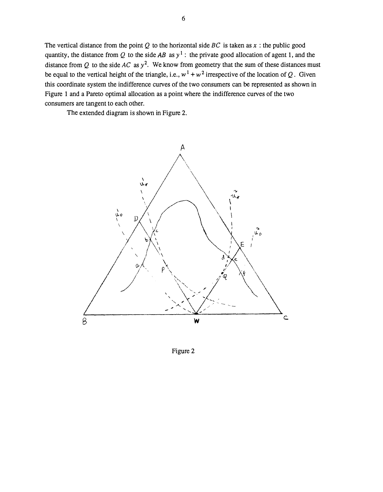The vertical distance from the point Q to the horizontal side  $BC$  is taken as x: the public good quantity, the distance from Q to the side AB as  $y^1$ : the private good allocation of agent 1, and the distance from Q to the side AC as  $y^2$ . We know from geometry that the sum of these distances must be equal to the vertical height of the triangle, i.e.,  $w^1 + w^2$  irrespective of the location of Q. Given this coordinate sy stem the indifference curves of the two consumers can be represented as shown in Figure 1 and a Pareto optimal allocation as a point where the indifference curves of the two consumers are tangent to each other.

The extended diagram is shown in Figure 2.



Figure 2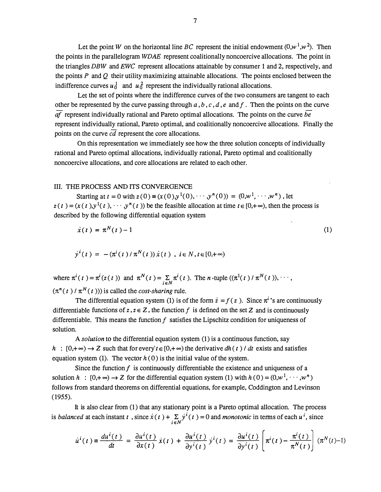Let the point W on the horizontal line BC represent the initial endowment  $(0,w^1,w^2)$ . Then the points in the parallelogram WDAE represent coalitionally noncoercive allocations. The point in the triangles DBW and EWC represent allocations attainable by consumer 1 and 2, respectively, and the points  $P$  and  $Q$  their utility maximizing attainable allocations. The points enclosed between the indifference curves  $u_0^1$  and  $u_0^2$  represent the individually rational allocations.

Let the set of points where the indifference curves of the two consumers are tangent to each other be represented by the curve passing through  $a, b, c, d, e$  and f. Then the points on the curve  $af$  represent individually rational and Pareto optimal allocations. The points on the curve be represent individually rational, Pareto optimal, and coalitionally noncoercive allocations. Finally the points on the curve  $c\bar{d}$  represent the core allocations.

On this representation we immediately see how the three solution concepts of individually rational and Pareto optimal allocations, individually rational, Pareto optimal and coalitionally noncoercive allocations, and core allocations are related to each other.

#### III. THE PROCESS AND ITS CONVERGENCE

Starting at  $t = 0$  with  $z(0) = (x(0),y^{1}(0), \dots, y^{n}(0)) = (0,w^{1}, \dots, w^{n})$ , let  $z(t) = (x(t), y^{1}(t), \dots, y^{n}(t))$  be the feasible allocation at time  $t \in [0, +\infty)$ , then the process is described by the following differential equation system

$$
\dot{x}(t) = \pi^N(t) - 1 \tag{1}
$$

$$
\dot{y}^{i}(t) = -(\pi^{i}(t)/\pi^{N}(t))\dot{x}(t) , i \in N, t \in [0,+\infty)
$$

where  $\pi^{i}(t) = \pi^{i}(z(t))$  and  $\pi^{N}(t) = \sum_{i \in N} \pi^{i}(t)$ . The *n*-tuple  $((\pi^{1}(t) / \pi^{N}(t)), \cdots,$  $(\pi^n(t)/\pi^N(t)))$  is called the *cost-sharing* rule.

The differential equation system (1) is of the form  $\dot{z} = f(z)$ . Since  $\pi^{i}$ 's are continuously differentiable functions of  $z, z \in \mathbb{Z}$ , the function f is defined on the set Z and is continuously differentiable. This means the function  $f$  satisfies the Lipschitz condition for uniqueness of solution.

A solution to the differential equation system (1) is a continuous function, say  $h : [0, +\infty) \to Z$  such that for every  $t \in [0, +\infty)$  the derivative dh(t) dt exists and satisfies equation system (1). The vector  $h(0)$  is the initial value of the system.

Since the function  $f$  is continuously differentiable the existence and uniqueness of a solution  $h : [0,+\infty) \to Z$  for the differential equation system (1) with  $h(0) = (0,w^1, \dots, w^n)$ follows from standard theorems on differential equations, for example, Coddington and Levinson (1955).

It is also clear from (1) that any stationary point is a Pareto optimal allocation. The process is *balanced* at each instant t, since  $\dot{x}(t) + \sum_{i \in N} y^{i}(t) = 0$  and *monotonic* in terms of each  $u^{i}$ , since

$$
\dot{u}^i(t) = \frac{du^i(t)}{dt} = \frac{\partial u^i(t)}{\partial x(t)} \dot{x}(t) + \frac{\partial u^i(t)}{\partial y^i(t)} \dot{y}^i(t) = \frac{\partial u^i(t)}{\partial y^i(t)} \left[ \pi^i(t) - \frac{\pi^i(t)}{\pi^N(t)} \right] (\pi^N(t) - 1)
$$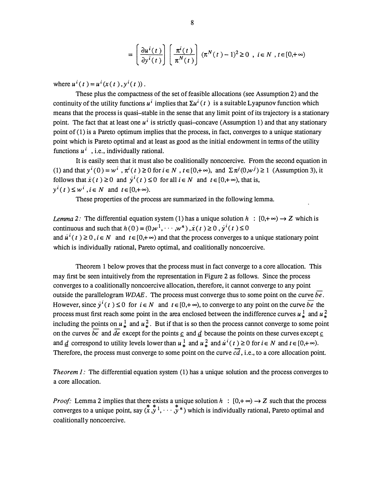$$
= \left[\frac{\partial u^i(t)}{\partial y^i(t)}\right] \left(\frac{\pi^i(t)}{\pi^N(t)}\right) (\pi^N(t)-1)^2 \ge 0 \text{ , } i \in N \text{ , } t \in [0,+\infty)
$$

where  $u^{i}(t) = u^{i}(x(t), y^{i}(t))$ . i

These plus the compactness of the set of feasible allocations (see Assumption 2) and the continuity of the utility functions  $u^i$  implies that  $\Sigma u^i(t)$  is a suitable Lyapunov function which means that the process is quasi-stable in the sense that any limit point of its trajectory is a stationary point. The fact that at least one  $u^i$  is strictly quasi-concave (Assumption 1) and that any stationary point of (1) is a Pareto optimum implies that the process, in fact, converges to a unique stationary point which is Pareto optimal and at least as good as the initial endowment in terms of the utility functions  $u^i$ , i.e., individually rational.

It is easily seen that it must also be coalitionally noncoercive. From the second equation in (1) and that  $y^{i}(0) = w^{i}$ ,  $\pi^{i}(t) \ge 0$  for  $i \in N$ ,  $t \in [0, +\infty)$ , and  $\Sigma \pi^{j}(0, w^{j}) \ge 1$  (Assumption 3), it follows that  $\dot{x}(t) \ge 0$  and  $\dot{y}^i(t) \le 0$  for all  $i \in N$  and  $t \in [0,+\infty)$ , that is,  $y^{i}(t) \leq w^{i}$ ,  $i \in N$  and  $t \in [0,+\infty)$ . i

These properties of the process are summarized in the following lemma.

*Lemma* 2: The differential equation system (1) has a unique solution  $h : [0, +\infty) \rightarrow Z$  which is continuous and such that  $h(0) = (0,w^1, \dots, w^n)$ ,  $\dot{x}(t) \ge 0$ ,  $\dot{y}^i(t) \le 0$ and  $\dot{u}^{i}(t) \ge 0$ ,  $i \in N$  and  $t \in [0, +\infty)$  and that the process converges to a unique stationary point which is individually rational, Pareto optimal, and coalitionally noncoercive.

Theorem 1 below proves that the process must in fact converge to a core allocation. This may first be seen intuitively from the representation in Figure 2 as follows. Since the process converges to a coalitionally noncoercive allocation, therefore, it cannot converge to any point outside the parallelogram  $WDAE$ . The process must converge thus to some point on the curve  $be$ . However, since  $y^{i}(t) \le 0$  for  $i \in N$  and  $t \in [0,+\infty)$ , to converge to any point on the curve be the process must first reach some point in the area enclosed between the indifference curves  $u_*^1$  and  $u_*^2$ including the points on  $u^1_*$  and  $u^2_*$ . But if that is so then the process cannot converge to some point on the curves  $\overline{bc}$  and  $\overline{de}$  except for the points  $\underline{c}$  and  $\underline{d}$  because the points on these curves except  $\underline{c}$ and  $\underline{d}$  correspond to utility levels lower than  $u^1_*$  and  $u^2_*$  and  $\overline{u}^i(t) \ge 0$  for  $i \in N$  and  $t \in [0,+\infty)$ . Therefore, the process must converge to some point on the curve  $c\overline{d}$ , i.e., to a core allocation point.

*Theorem 1:* The differential equation system  $(1)$  has a unique solution and the process converges to a core allocation.

*Proof*: Lemma 2 implies that there exists a unique solution  $h : [0, +\infty) \to Z$  such that the process converges to a unique point, say  $(x, y^*, \dots, y^n)$  which is individually rational, Pareto optimal and coalitionally noncoercive.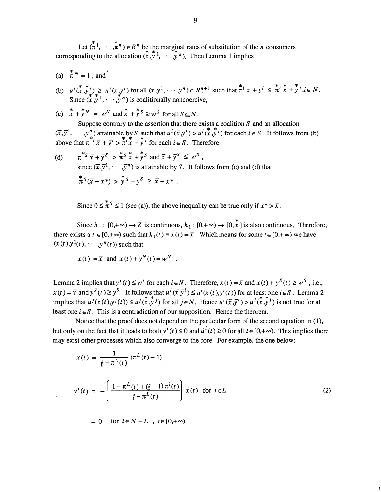Let  $({\pi}^{*1}, \cdots, {\pi}^{n}) \in R_{+}^{n}$  be the marginal rates of substitution of the *n* consumers corresponding to the allocation  $(x, y^1, \dots, y^n)$ . Then Lemma 1 implies

- (a)  $\pi^{N} = 1$ ; and
- (b)  $u^i(x,y^i) \geq u^i(x,y^i)$  for all  $(x,y^1,\dots,y^n) \in R^{n+1}$  such that  $\pi^i x + y^i \leq \pi^i x + y^i, i \in N$ . Since  $(x, y^*$ ,  $\ldots, y^n)$  is coalitionally noncoercive,
- (c)  $\overline{x} + \overline{y}^N = w^N$  and  $\overline{x} + \overline{y}^S \geq w^S$  for all  $S \subseteq N$ .

Suppose contrary to the assertion that there exists a coalition  $S$  and an allocation  $(\overline{x}, \overline{y}^1, \dots, \overline{y}^n)$  attainable by S such that  $u^i(\overline{x}, \overline{y}^i) > u^i(\overline{x}, \overline{y}^i)$  for each  $i \in S$ . It follows from (b) above that  $\pi^{*i} \overline{x} + \overline{y}^i > \pi^i x + \overline{y}^i$  for each  $i \in S$ . Therefore

(d) 
$$
\pi^* S \overline{x} + \overline{y}^S > \pi^S \overline{x} + \overline{y}^S
$$
 and  $\overline{x} + \overline{y}^S \le w^S$ ,  
since  $(\overline{x}, \overline{y}^1, \dots, \overline{y}^n)$  is attainable by *S*. It follows from (c) and (d) that  
 $\pi^* S (\overline{x} - x^*) > \overline{y}^S - \overline{y}^S \ge \overline{x} - x^*$ .

Since  $0 \leq \pi^s \leq 1$  (see (a)), the above inequality can be true only if  $x^* > \overline{x}$ .

Since  $h : [0, +\infty) \to Z$  is continuous,  $h_1 : [0, +\infty) \to [0, x]$  is also continuous. Therefore, there exists a  $t \in [0, +\infty)$  such that  $h_1(t) = x(t) = \overline{x}$ . Which means for some  $t \in [0, +\infty)$  we have  $(x(t),y^{1}(t),\cdots,y^{n}(t))$  such that

$$
x(t) = \overline{x} \text{ and } x(t) + y^N(t) = w^N
$$

Lemma 2 implies that  $y^{i}(t) \leq w^{i}$  for each  $i \in N$ . Therefore,  $x(t) = \overline{x}$  and  $x(t) + y^{S}(t) \geq w^{S}$ , i.e.,  $x(t) = \overline{x}$  and  $y^{S}(t) \ge \overline{y}^{S}$ . It follows that  $u^{i}(\overline{x}, \overline{y}^{i}) \le u^{i}(x(t), y^{i}(t))$  for at least one  $i \in S$ . Lemma 2 implies that  $u^j(x(t),y^j(t)) \le u^j(x,y^*')$  for all  $j \in N$ . Hence  $u^i(\overline{x},\overline{y}^i) > u^i(x,y^*')$  is not true for at least one  $i \in S$ . This is a contradiction of our supposition. Hence the theorem.

Notice that the proof does not depend on the particular form of the second equation in (1), but only on the fact that it leads to both  $y^{i}(t) \leq 0$  and  $u^{i}(t) \geq 0$  for all  $t \in [0, +\infty)$ . This implies there may exist other processes which also converge to the core. For example, the one below:

$$
\dot{x}(t) = \frac{1}{\ell - \pi^{L}(t)} (\pi^{L}(t) - 1)
$$
\n
$$
\dot{y}^{i}(t) = -\left(\frac{1 - \pi^{L}(t) + (\ell - 1)\pi^{i}(t)}{\ell - \pi^{L}(t)}\right) \dot{x}(t) \text{ for } i \in L
$$
\n(2)

 $= 0$  for  $i \in N - L$ ,  $t \in [0, +\infty)$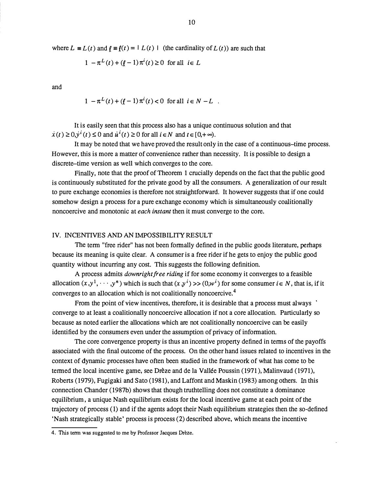where  $L \equiv L(t)$  and  $\ell \equiv \ell(t) = |L(t)|$  (the cardinality of  $L(t)$ ) are such that

$$
1 - \pi^L(t) + (\ell - 1)\pi^i(t) \ge 0 \text{ for all } i \in L
$$

and

$$
1 - \pi^{L}(t) + (l - 1)\pi^{i}(t) < 0 \text{ for all } i \in N - L \ .
$$

It is easily seen that this process also has a unique continuous solution and that  $\dot{x}(t) \ge 0$ ,  $\dot{y}^i(t) \le 0$  and  $\dot{u}^i(t) \ge 0$  for all  $i \in N$  and  $t \in [0,+\infty)$ .

It may be noted that we have proved the result only in the case of a continuous-time process. However, this is more a matter of convenience rather than necessity. It is possible to design a discrete-time version as well which converges to the core.

Finally, note that the proof of Theorem 1 crucially depends on the fact that the public good is continuously substituted for the private good by all the consumers. A generalization of our result to pure exchange economies is therefore not straightforward. It however suggests that if one could somehow design a process for a pure exchange economy which is simultaneously coalitionally noncoercive and monotonic at each instant then it must converge to the core.

### IV. INCENTIVES AND AN IMPOSSIBILITY RESULT

The term "free rider" has not been formally defined in the public goods literature, perhaps because its meaning is quite clear. A consumer is a free rider if he gets to enjoy the public good quantity without incurring any cost. This suggests the following definition.

A process admits downright free riding if for some economy it converges to a feasible allocation  $(x, y^1, \dots, y^n)$  which is such that  $(x, y^i)$  >>  $(0, w^i)$  for some consumer  $i \in N$ , that is, if it converges to an allocation which is not coalitionally noncoercive.<sup>4</sup>

From the point of view incentives, therefore, it is desirable that a process must always  $\cdot$ converge to at least a coalitionally noncoercive allocation if not a core allocation. Particularly so because as noted earlier the allocations which are not coalitionally noncoercive can be easily identified by the consumers even under the assumption of privacy of information.

The core convergence property is thus an incentive property defined in terms of the payoffs associated with the final outcome of the process. On the other hand issues related to incentives in the context of dynamic processes have often been studied in the framework of what has come to be termed the local incentive game, see Drèze and de la Vallée Poussin (1971), Malinvaud (1971), Roberts (1979), Fugigaki and Sato (1981), and Laffont and Maskin (1983) among others. In this connection Chander (1987b) shows that though truthtelling does not constitute a dominance equilibrium, a unique Nash equilibrium exists for the local incentive game at each point of the trajectory of process ( 1) and if the agents adopt their Nash equilibrium strategies then the so-defined 'Nash strategically stable' process is process (2) described above, which means the incentive

<sup>4.</sup> This term was suggested to me by Professor Jacques Drèze.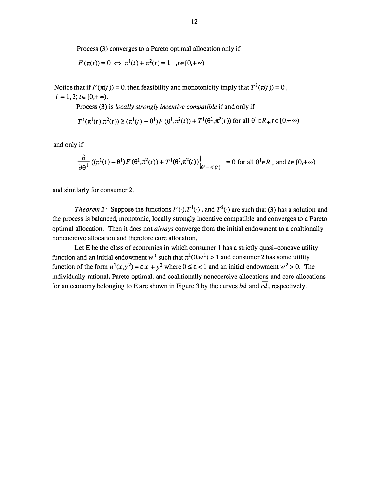Process (3) converges to a Pareto optimal allocation only if

$$
F(\pi(t)) = 0 \iff \pi^1(t) + \pi^2(t) = 1
$$
,  $t \in [0, +\infty)$ 

Notice that if  $F(\pi(t)) = 0$ , then feasibility and monotonicity imply that  $T^i(\pi(t)) = 0$ ,  $i = 1, 2; t \in [0, +\infty).$ 

Process (3) is locally strongly incentive compatible if and only if

$$
T^1(\pi^1(t),\pi^2(t)) \geq (\pi^1(t)-\theta^1) \, F(\theta^1,\pi^2(t)) + T^1(\theta^1,\pi^2(t)) \text{ for all } \theta^1 \in R_+, t \in [0,+\infty)
$$

and only if

$$
\frac{\partial}{\partial \theta^1} \left( (\pi^1(t) - \theta^1) F(\theta^1, \pi^2(t)) + T^1(\theta^1, \pi^2(t)) \right|_{\theta^1 = \pi^1(t)} = 0 \text{ for all } \theta^1 \in R_+ \text{ and } t \in [0, +\infty)
$$

and similarly for consumer 2.

*Theorem* 2: Suppose the functions  $F(\cdot), T^1(\cdot)$ , and  $T^2(\cdot)$  are such that (3) has a solution and the process is balanced, monotonic, locally strongly incentive compatible and converges to a Pareto optimal allocation. Then it does not *always* converge from the initial endowment to a coaltionally noncoercive allocation and therefore core allocation.

Let E be the class of economies in which consumer 1 has a strictly quasi-concave utility function and an initial endowment  $w^1$  such that  $\pi^1(0,w^1) > 1$  and consumer 2 has some utility function of the form  $u^2(x,y^2) = \varepsilon x + y^2$  where  $0 \le \varepsilon < 1$  and an initial endowment  $w^2 > 0$ . The individually rational, Pareto optimal, and coalitionally noncoercive allocations and core allocations for an economy belonging to E are shown in Figure 3 by the curves  $b\overline{d}$  and  $c\overline{d}$ , respectively.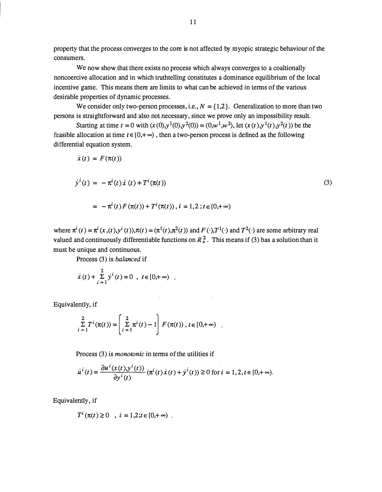property that the process converges to the core is not affected by myopic strategic behaviour of the consumers.

We now show that there exists no process which always converges to a coaltionally noncoercive allocation and in which truthtelling constitutes a dominance equilibrium of the local incentive game. This means there are limits to what can be achieved in terms of the various desirable properties of dynamic processes.

We consider only two-person processes, i.e.,  $N = \{1,2\}$ . Generalization to more than two persons is straightforward and also not necessary, since we prove only an impossibility result.

Starting at time  $t = 0$  with  $(x(0), y^1(0), y^2(0)) = (0, w^1, w^2)$ , let  $(x(t), y^1(t), y^2(t))$  be the feasible allocation at time  $t \in [0, +\infty)$ , then a two-person process is defined as the following differential equation system.

$$
\dot{x}(t) = F(\pi(t))
$$
\n
$$
\dot{y}^{i}(t) = -\pi^{i}(t)\dot{x}(t) + T^{i}(\pi(t))
$$
\n
$$
= -\pi^{i}(t)F(\pi(t)) + T^{i}(\pi(t)), i = 1, 2; t \in [0, +\infty)
$$
\n(3)

where  $\pi^{i}(t) = \pi^{i}(x, (t), y^{i}(t)), \pi(t) = (\pi^{1}(t), \pi^{2}(t))$  and  $F(\cdot), T^{1}(\cdot)$  and  $T^{2}(\cdot)$  are some arbitrary real valued and continuously differentiable functions on  $R<sub>+</sub><sup>2</sup>$ . This means if (3) has a solution than it must be unique and continuous.

Process (3) is balanced if

$$
\dot{x}(t) + \sum_{i=1}^{2} y^{i}(t) = 0
$$
,  $t \in [0, +\infty)$ .

Equivalently, if

$$
\sum_{i=1}^{2} T^{i}(\pi(t)) = \left(\sum_{i=1}^{2} \pi^{i}(t) - 1\right) F(\pi(t)), t \in [0, +\infty) .
$$

 $\bar{z}$ 

Process (3) is *monotonic* in terms of the utilities if

$$
\dot{u}^{i}(t) = \frac{\partial u^{i}(x(t), y^{i}(t))}{\partial y^{i}(t)} (\pi^{i}(t) \dot{x}(t) + \dot{y}^{i}(t)) \ge 0 \text{ for } i = 1, 2, t \in [0, +\infty).
$$

Equivalently, if

$$
T^{i}(\pi(t) \ge 0
$$
,  $i = 1,2; t \in [0,+\infty)$ .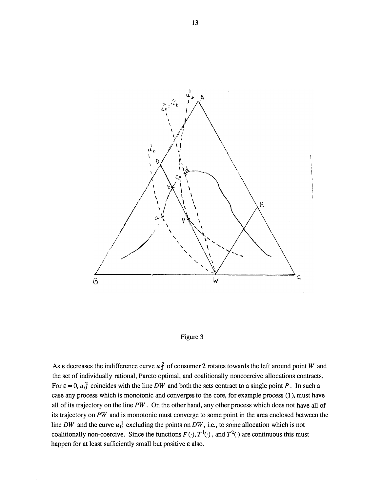



As  $\varepsilon$  decreases the indifference curve  $u_0^2$  of consumer 2 rotates towards the left around point W and the set of individually rational, Pareto optimal, and coalitionally noncoercive allocations contracts. For  $\epsilon = 0$ ,  $u_0^2$  coincides with the line DW and both the sets contract to a single point P. In such a case any process which is monotonic and converges to the core, for example process (1), must have all of its trajectory on the line  $PW$ . On the other hand, any other process which does not have all of its trajectory on  $PW$  and is monotonic must converge to some point in the area enclosed between the line DW and the curve  $u_0^1$  excluding the points on DW, i.e., to some allocation which is not coalitionally non-coercive. Since the functions  $F(\cdot), T^1(\cdot)$ , and  $T^2(\cdot)$  are continuous this must happen for at least sufficiently small but positive  $\varepsilon$  also.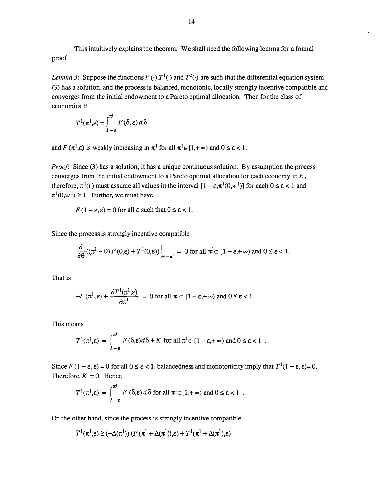This intuitively explains the theorem. We shall need the following lemma for a formal proof.

Lemma 3: Suppose the functions  $F(\cdot), T^1(\cdot)$  and  $T^2(\cdot)$  are such that the differential equation system (3) has a solution, and the process is balanced, monotonic, locally strongly incentive compatible and converges from the initial endowment to a Pareto optimal allocation. Then for the class of economics E

$$
T^{1}(\pi^{1}, \varepsilon) = \int_{1-\varepsilon}^{\pi^{1}} F(\delta, \varepsilon) d\delta
$$

and  $F(\pi^1, \varepsilon)$  is weakly increasing in  $\pi^1$  for all  $\pi^1 \in [1, +\infty)$  and  $0 \le \varepsilon < 1$ .

Proof: Since (3) has a solution, it has a unique continuous solution. By assumption the process converges from the initial endowment to a Pareto optimal allocation for each economy in  $E$ , therefore,  $\pi^1(t)$  must assume all values in the interval  $[1 - \varepsilon, \pi^1(0, w^1)]$  for each  $0 \le \varepsilon < 1$  and  $\pi^1(0,w^1) \geq 1$ . Further, we must have

$$
F(1 - \varepsilon, \varepsilon) = 0
$$
 for all  $\varepsilon$  such that  $0 \le \varepsilon < 1$ .

Since the process is strongly incentive compatible

$$
\frac{\partial}{\partial \theta} \left( (\pi^1 - \theta) F(\theta, \varepsilon) + T^1(\theta, \varepsilon) \right) \Big|_{\theta = \pi^1} = 0 \text{ for all } \pi^1 \in [1 - \varepsilon, +\infty) \text{ and } 0 \le \varepsilon < 1.
$$

That is

$$
-F(\pi^1, \varepsilon) + \frac{\partial T^1(\pi^1, \varepsilon)}{\partial \pi^1} = 0 \text{ for all } \pi^1 \in [1 - \varepsilon, +\infty) \text{ and } 0 \le \varepsilon < 1.
$$

This means

$$
T^1(\pi^1,\varepsilon) = \int_{1-\varepsilon}^{\pi^1} F(\delta,\varepsilon) d\delta + K \text{ for all } \pi^1 \in [1-\varepsilon, +\infty) \text{ and } 0 \le \varepsilon < 1.
$$

Since  $F(1 - \varepsilon, \varepsilon) = 0$  for all  $0 \le \varepsilon < 1$ , balancedness and monotonicity imply that  $T^1(1 - \varepsilon, \varepsilon) = 0$ . Therefore,  $K = 0$ . Hence

$$
T^{1}(\pi^{1}, \varepsilon) = \int_{1-\varepsilon}^{\pi^{1}} F(\delta, \varepsilon) d\delta \text{ for all } \pi^{1} \in [1, +\infty) \text{ and } 0 \le \varepsilon < 1.
$$

On the other hand, since the process is strongly incentive compatible

$$
T^1(\pi^1,\varepsilon) \geq (-\Delta(\pi^1)) \left( F(\pi^1 + \Delta(\pi^1)),\varepsilon \right) + T^1(\pi^1 + \Delta(\pi^1),\varepsilon)
$$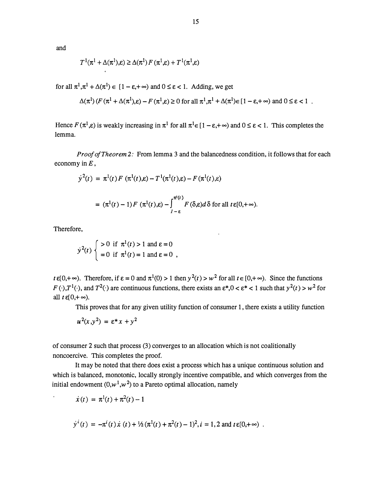and

$$
T^1(\pi^1 + \Delta(\pi^1), \varepsilon) \ge \Delta(\pi^1) F(\pi^1, \varepsilon) + T^1(\pi^1, \varepsilon)
$$

for all  $\pi^1, \pi^1 + \Delta(\pi^1) \in [1 - \varepsilon, +\infty)$  and  $0 \le \varepsilon < 1$ . Adding, we get

$$
\Delta(\pi^1)(F(\pi^1 + \Delta(\pi^1), \varepsilon) - F(\pi^1, \varepsilon) \ge 0 \text{ for all } \pi^1, \pi^1 + \Delta(\pi^1) \in [1 - \varepsilon, +\infty) \text{ and } 0 \le \varepsilon < 1
$$

Hence  $F(\pi^1,\varepsilon)$  is weakly increasing in  $\pi^1$  for all  $\pi^1 \in [1-\varepsilon,+\infty)$  and  $0 \leq \varepsilon < 1$ . This completes the lemma.

Proof of Theorem 2: From lemma 3 and the balancedness condition, it follows that for each economy in  $E$ ,

$$
y^{2}(t) = \pi^{1}(t) F (\pi^{1}(t), \varepsilon) - T^{1}(\pi^{1}(t), \varepsilon) - F(\pi^{1}(t), \varepsilon)
$$
  

$$
= (\pi^{1}(t) - 1) F (\pi^{1}(t), \varepsilon) - \int_{1-\varepsilon}^{\pi^{1}(t)} F(\delta, \varepsilon) d\delta \text{ for all } t \in [0, +\infty).
$$

Therefore,

 $\ddot{\phantom{a}}$ 

re,  
\n
$$
y^{2}(t) \begin{cases}\n>0 \text{ if } π^{1}(t) > 1 \text{ and } ε = 0 \\
= 0 \text{ if } π^{1}(t) = 1 \text{ and } ε = 0\n\end{cases}
$$

 $t \in [0, +\infty)$ . Therefore, if  $\varepsilon = 0$  and  $\pi^1(0) > 1$  then  $y^2(t) > w^2$  for all  $t \in [0, +\infty)$ . Since the functions  $F(\cdot), T^1(\cdot)$ , and  $T^2(\cdot)$  are continuous functions, there exists an  $\epsilon^*, 0 < \epsilon^* < 1$  such that  $y^2(t) > w^2$  for all  $t \in [0, +\infty)$ .

This proves that for any given utility function of consumer 1, there exists a utility function

$$
u^2(x,y^2) = \varepsilon^* x + y^2
$$

of consumer 2 such that process (3) converges to an allocation which is not coalitionally noncoercive. This completes the proof.

It may be noted that there does exist a process which has a unique continuous solution and which is balanced, monotonic, locally strongly incentive compatible, and which converges from the initial endowment  $(0, w^1, w^2)$  to a Pareto optimal allocation, namely

$$
\dot{x}(t) = \pi^{1}(t) + \pi^{2}(t) - 1
$$

$$
\dot{y}^i(t) = -\pi^i(t)\dot{x}(t) + \frac{1}{2}(\pi^1(t) + \pi^2(t) - 1)^2, i = 1, 2
$$
 and  $t \in [0, +\infty)$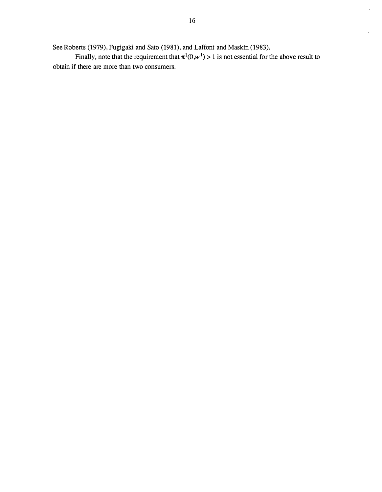$\frac{1}{2}$ 

 $\mathbf{r}$ 

See Roberts (1979), Fugigaki and Sato (1981), and Laffont and Maskin (1983).

Finally, note that the requirement that  $\pi^1(0,w^1) > 1$  is not essential for the above result to obtain if there are more than two consumers.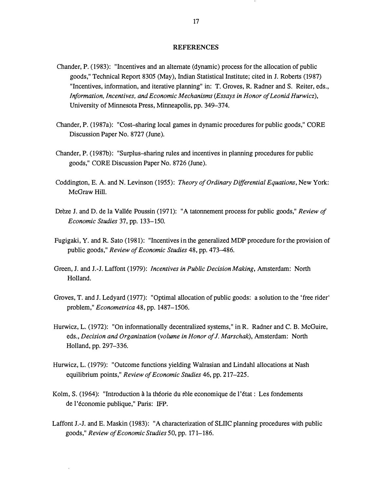#### REFERENCES

- Chander, P. (1983) : "Incentives and an alternate (dynamic) process for the allocation of public goods," Technical Report 8305 (May) , Indian Statistical Institute; cited in J. Roberts (1987) "Incentives, infonnation, and iterative planning" in: T. Groves, R. Radner and S. Reiter, eds., Information, Incentives, and Economic Mechanisms (Essays in Honor of Leonid Hurwicz), University of Minnesota Press, Minneapolis, pp. 349–374.
- Chander, P. (1987a) : " Cost-sharing local games in dynamic procedures for public goods," CORE Discussion Paper No. 8727 (June).
- Chander, P. (1987b): "Surplus-sharing rules and incentives in planning procedures for public goods," CORE Discussion Paper No. 8726 (June) .
- Coddington, E. A. and N. Levinson (1955): Theory of Ordinary Differential Equations, New York: McGraw Hill.
- Drèze J. and D. de la Vallée Poussin (1971): "A tatonnement process for public goods," Review of Economic Studies 37, pp. 133-150.
- Fugigaki, Y. and R. Sato (1981) : "Incentives in the generalized MDP procedure for the provision of public goods," Review of Economic Studies 48, pp. 473-486.
- Green, J. and J.-J. Laffont (1979): *Incentives in Public Decision Making*, Amsterdam: North Holland.
- Groves, T. and J. Ledyard (1977) : " Optimal allocation of public goods: a solution to the 'free rider' problem," Econometrica 48, pp. 1487-1506.
- Hurwicz, L. (1972): "On informationally decentralized systems," in R. Radner and C. B. McGuire, eds., Decision and Organization (volume in Honor of J. Marschak), Amsterdam: North Holland, pp. 297–336.
- Hurwicz, L. (1979): "Outcome functions yielding Walrasian and Lindahl allocations at Nash equilibrium points," Review of Economic Studies 46, pp. 217-225.
- Kolm, S. (1964): "Introduction à la théorie du rôle economique de l'état : Les fondements de l'économie publique," Paris: IFP.
- Laffont J.-J. and E. Maskin (1983): "A characterization of SLIIC planning procedures with public goods," Review of Economic Studies 50, pp. 171-186.